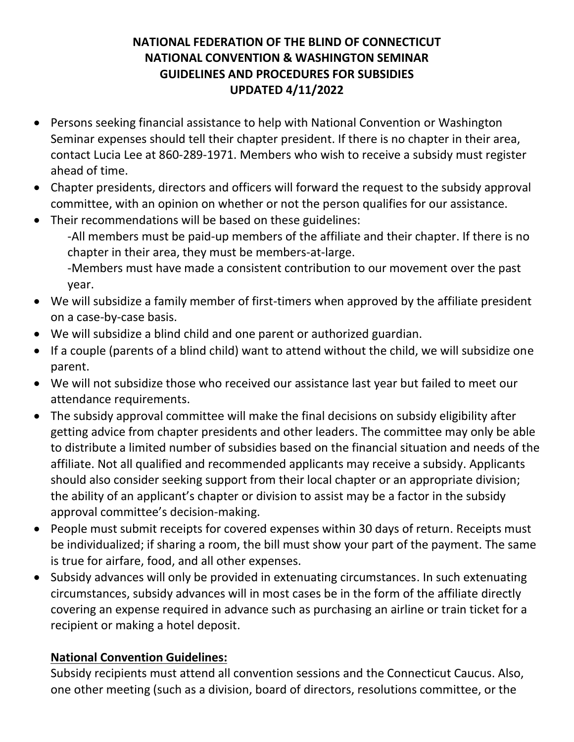## **NATIONAL FEDERATION OF THE BLIND OF CONNECTICUT NATIONAL CONVENTION & WASHINGTON SEMINAR GUIDELINES AND PROCEDURES FOR SUBSIDIES UPDATED 4/11/2022**

- Persons seeking financial assistance to help with National Convention or Washington Seminar expenses should tell their chapter president. If there is no chapter in their area, contact Lucia Lee at 860-289-1971. Members who wish to receive a subsidy must register ahead of time.
- Chapter presidents, directors and officers will forward the request to the subsidy approval committee, with an opinion on whether or not the person qualifies for our assistance.
- Their recommendations will be based on these guidelines:

-All members must be paid-up members of the affiliate and their chapter. If there is no chapter in their area, they must be members-at-large.

-Members must have made a consistent contribution to our movement over the past year.

- We will subsidize a family member of first-timers when approved by the affiliate president on a case-by-case basis.
- We will subsidize a blind child and one parent or authorized guardian.
- If a couple (parents of a blind child) want to attend without the child, we will subsidize one parent.
- We will not subsidize those who received our assistance last year but failed to meet our attendance requirements.
- The subsidy approval committee will make the final decisions on subsidy eligibility after getting advice from chapter presidents and other leaders. The committee may only be able to distribute a limited number of subsidies based on the financial situation and needs of the affiliate. Not all qualified and recommended applicants may receive a subsidy. Applicants should also consider seeking support from their local chapter or an appropriate division; the ability of an applicant's chapter or division to assist may be a factor in the subsidy approval committee's decision-making.
- People must submit receipts for covered expenses within 30 days of return. Receipts must be individualized; if sharing a room, the bill must show your part of the payment. The same is true for airfare, food, and all other expenses.
- Subsidy advances will only be provided in extenuating circumstances. In such extenuating circumstances, subsidy advances will in most cases be in the form of the affiliate directly covering an expense required in advance such as purchasing an airline or train ticket for a recipient or making a hotel deposit.

# **National Convention Guidelines:**

Subsidy recipients must attend all convention sessions and the Connecticut Caucus. Also, one other meeting (such as a division, board of directors, resolutions committee, or the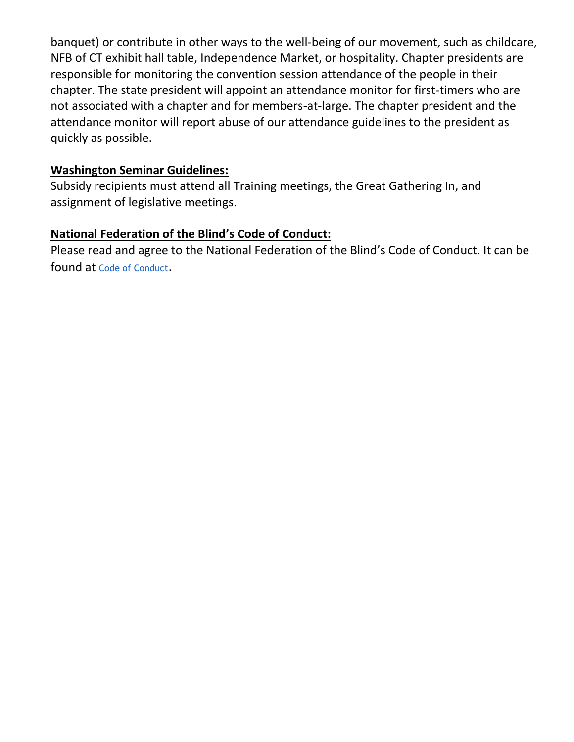banquet) or contribute in other ways to the well-being of our movement, such as childcare, NFB of CT exhibit hall table, Independence Market, or hospitality. Chapter presidents are responsible for monitoring the convention session attendance of the people in their chapter. The state president will appoint an attendance monitor for first-timers who are not associated with a chapter and for members-at-large. The chapter president and the attendance monitor will report abuse of our attendance guidelines to the president as quickly as possible.

#### **Washington Seminar Guidelines:**

Subsidy recipients must attend all Training meetings, the Great Gathering In, and assignment of legislative meetings.

#### **National Federation of the Blind's Code of Conduct:**

Please read and agree to the National Federation of the Blind's Code of Conduct. It can be found at [Code of Conduct](https://nfb.org/code-conduct).